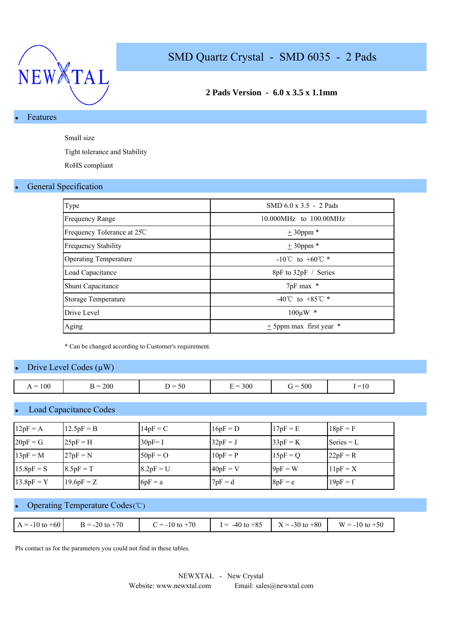

## **2 Pads Version - 6.0 x 3.5 x 1.1mm**

## Features

Small size

Tight tolerance and Stability

RoHS compliant

### **General Specification**

| Type                         | SMD $6.0 \times 3.5 - 2$ Pads      |
|------------------------------|------------------------------------|
| <b>Frequency Range</b>       | 10.000MHz to 100.00MHz             |
| Frequency Tolerance at 25C   | $± 30$ ppm $*$                     |
| <b>Frequency Stability</b>   | $\pm$ 30ppm $*$                    |
| <b>Operating Temperature</b> | $-10^{\circ}$ C to $+60^{\circ}$ * |
| Load Capacitance             | 8pF to 32pF / Series               |
| <b>Shunt Capacitance</b>     | 7pF max *                          |
| <b>Storage Temperature</b>   | -40°C to +85°C $*$                 |
| Drive Level                  | $100 \mu W$ *                      |
| Aging                        | $\pm$ 5ppm max first year $*$      |

\* Can be changed according to Customer's requirement.

## Drive Level Codes  $(\mu W)$

| $= 100$<br>. . | 200<br>__ | $\overline{\phantom{0}}$<br><u>_</u><br>$\sim$ $\sim$ $\sim$ | 300 | 500<br>$\sim$ $-$<br>$\mathbf{r}$ $\mathbf{r}$ | $-11$<br>$-10$ |
|----------------|-----------|--------------------------------------------------------------|-----|------------------------------------------------|----------------|

### **Load Capacitance Codes**

| $12pF = A$   | $12.5pF = B$ | $14pF = C$  | $16pF = D$ | $17pF = E$ | $18pF = F$   |
|--------------|--------------|-------------|------------|------------|--------------|
| $20pF = G$   | $25pF = H$   | $30pF = I$  | $32pF = J$ | $33pF = K$ | Series $= L$ |
| $13pF = M$   | $27pF = N$   | $50pF = O$  | $10pF = P$ | $15pF = Q$ | $22pF = R$   |
| $15.8pF = S$ | $8.5pF = T$  | $8.2pF = U$ | $40pF = V$ | $9pF = W$  | $11pF = X$   |
| $13.8pF = Y$ | $19.6pF = Z$ | $6pF = a$   | $7pF = d$  | $8pF = e$  | $19pF = f$   |

### Operating Temperature Codes (℃)

| $A = -10$ to $+60$ | $B = -20$ to $+70$ | $C = -10$ to $+70$ | $I = -40$ to $+85$ | $X = -30$ to $+80$ | $W = -10$ to $+50$ |
|--------------------|--------------------|--------------------|--------------------|--------------------|--------------------|

Pls contact us for the parameters you could not find in these tables.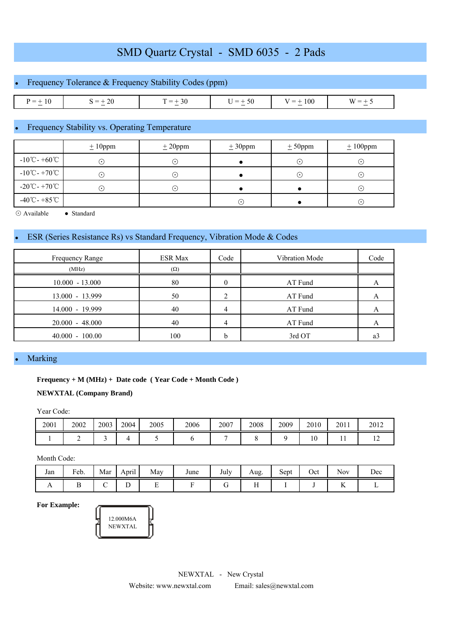|              | • Frequency Tolerance $&$ Frequency Stability Codes (ppm) |           |           |             |          |  |  |  |  |  |  |
|--------------|-----------------------------------------------------------|-----------|-----------|-------------|----------|--|--|--|--|--|--|
|              |                                                           |           |           |             |          |  |  |  |  |  |  |
| $P = \pm 10$ | $S = \pm 20$                                              | $T = +30$ | $U = +50$ | $V = + 100$ | $W = +5$ |  |  |  |  |  |  |

## Frequency Stability vs. Operating Temperature

|                                             | $± 10$ ppm  | ± 20 ppm | $\pm 30$ ppm | ± 50 ppm  | $± 100$ ppm |
|---------------------------------------------|-------------|----------|--------------|-----------|-------------|
| $-10^{\circ}$ C - +60 $^{\circ}$ C          | ۰.)         | ۰.       |              | $\odot$   | $(\bullet)$ |
| $-10^{\circ}$ C - +70 $^{\circ}$ C          | (•)         | . .      |              | $(\cdot)$ | $(\cdot)$   |
| $-20^{\circ}\text{C} - +70^{\circ}\text{C}$ | $(\bullet)$ | ا • ا    |              |           | $(\cdot)$   |
| $-40^{\circ}$ C - +85 $^{\circ}$ C          |             |          | $\odot$      |           | $(\cdot)$   |

⊙ Available ● Standard

## ESR (Series Resistance Rs) vs Standard Frequency, Vibration Mode & Codes

| Frequency Range   | <b>ESR Max</b> | Code | Vibration Mode | Code |
|-------------------|----------------|------|----------------|------|
| (MHz)             | $(\Omega)$     |      |                |      |
| $10.000 - 13.000$ | 80             | 0    | AT Fund        |      |
| 13.000 - 13.999   | 50             |      | AT Fund        |      |
| 14.000 - 19.999   | 40             | 4    | AT Fund        |      |
| $20.000 - 48.000$ | 40             | 4    | AT Fund        |      |
| $40.000 - 100.00$ | 100            | h    | 3rd OT         | a3   |

#### **Marking**

### **Frequency + M (MHz) + Date code ( Year Code + Month Code )**

### **NEWXTAL (Company Brand)**

Year Code:

| 2001 | 2002 | 2003 | 2004 | 2005 | 2006 | 2007 | 2008 | 2009 | 2010 | 2011 | 2012           |
|------|------|------|------|------|------|------|------|------|------|------|----------------|
|      |      |      |      |      |      |      |      |      | 10   | . .  | $\overline{1}$ |

Month Code:

| Jan            | Feb. | Mar | $\cdot$ .<br>April | May | June | July | Aug.      | Sept | Oct | Nov | $\sqrt{ }$<br>Dec |
|----------------|------|-----|--------------------|-----|------|------|-----------|------|-----|-----|-------------------|
| $\overline{1}$ |      |     | ∸                  | -   |      |      | <b>TT</b> |      |     | TT. |                   |

**For Example:**

| 12.000M6A<br>NEWXTAL |  |
|----------------------|--|
|                      |  |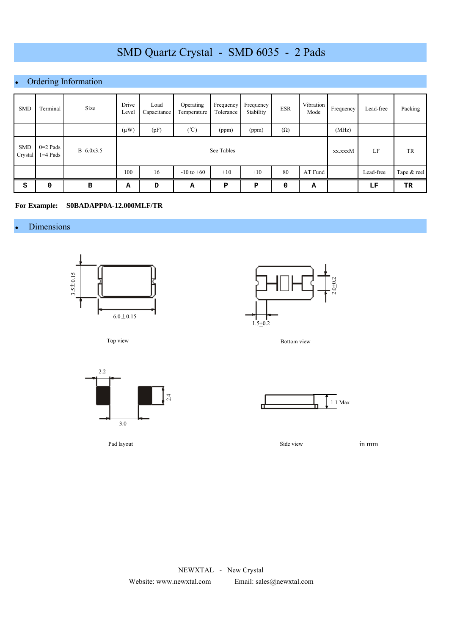# Ordering Information

| <b>SMD</b>            | Terminal                 | Size        | Drive<br>Level | Load<br>Capacitance | Operating<br>Temperature | Frequency<br>Tolerance | Frequency<br>Stability | <b>ESR</b> | Vibration<br>Mode | Frequency | Lead-free | Packing     |
|-----------------------|--------------------------|-------------|----------------|---------------------|--------------------------|------------------------|------------------------|------------|-------------------|-----------|-----------|-------------|
|                       |                          |             | $(\mu W)$      | (pF)                | $(\degree C)$            | (ppm)                  | (ppm)                  | $(\Omega)$ |                   | (MHz)     |           |             |
| <b>SMD</b><br>Crystal | $0=2$ Pads<br>$1=4$ Pads | $B=6.0x3.5$ |                |                     |                          | See Tables             |                        |            |                   | xx.xxxM   | LF        | TR          |
|                       |                          |             | 100            | 16                  | $-10$ to $+60$           | $\pm 10$               | $\pm 10$               | 80         | AT Fund           |           | Lead-free | Tape & reel |
| S                     | 0                        | в           | А              | D                   | А                        | P                      | P                      | 0          | А                 |           | LF        | TR          |

#### **For Example: S0BADAPP0A-12.000MLF/TR**

## • Dimensions





Top view



Pad layout





Side view

in mm